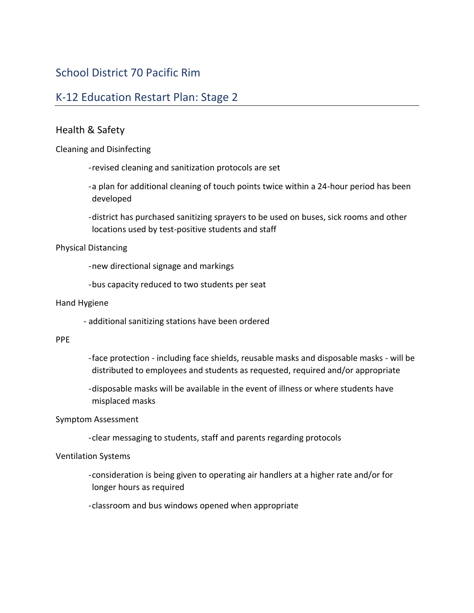# School District 70 Pacific Rim

# K-12 Education Restart Plan: Stage 2

## Health & Safety

Cleaning and Disinfecting

-revised cleaning and sanitization protocols are set

-a plan for additional cleaning of touch points twice within a 24-hour period has been developed

-district has purchased sanitizing sprayers to be used on buses, sick rooms and other locations used by test-positive students and staff

#### Physical Distancing

-new directional signage and markings

-bus capacity reduced to two students per seat

#### Hand Hygiene

- additional sanitizing stations have been ordered

#### PPE

- -face protection including face shields, reusable masks and disposable masks will be distributed to employees and students as requested, required and/or appropriate
- -disposable masks will be available in the event of illness or where students have misplaced masks

### Symptom Assessment

-clear messaging to students, staff and parents regarding protocols

### Ventilation Systems

-consideration is being given to operating air handlers at a higher rate and/or for longer hours as required

-classroom and bus windows opened when appropriate